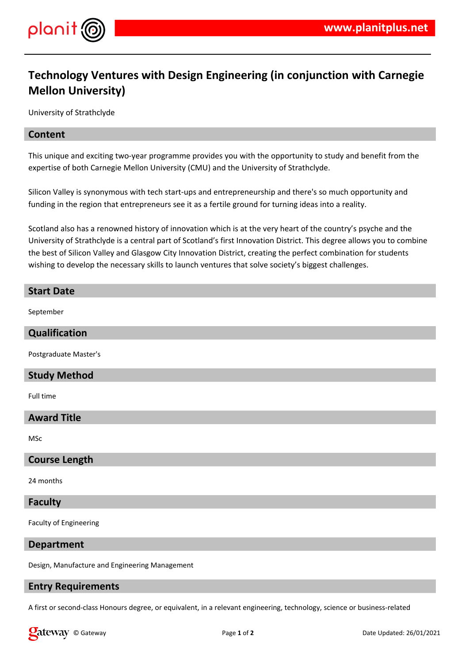

# **Technology Ventures with Design Engineering (in conjunction with Carnegie Mellon University)**

University of Strathclyde

#### **Content**

This unique and exciting two-year programme provides you with the opportunity to study and benefit from the expertise of both Carnegie Mellon University (CMU) and the University of Strathclyde.

Silicon Valley is synonymous with tech start-ups and entrepreneurship and there's so much opportunity and funding in the region that entrepreneurs see it as a fertile ground for turning ideas into a reality.

Scotland also has a renowned history of innovation which is at the very heart of the country's psyche and the University of Strathclyde is a central part of Scotland's first Innovation District. This degree allows you to combine the best of Silicon Valley and Glasgow City Innovation District, creating the perfect combination for students wishing to develop the necessary skills to launch ventures that solve society's biggest challenges.

#### **Start Date**

September

# **Qualification**

Postgraduate Master's

### **Study Method**

Full time

## **Award Title**

MSc

### **Course Length**

24 months

#### **Faculty**

Faculty of Engineering

#### **Department**

Design, Manufacture and Engineering Management

# **Entry Requirements**

A first or second-class Honours degree, or equivalent, in a relevant engineering, technology, science or business-related